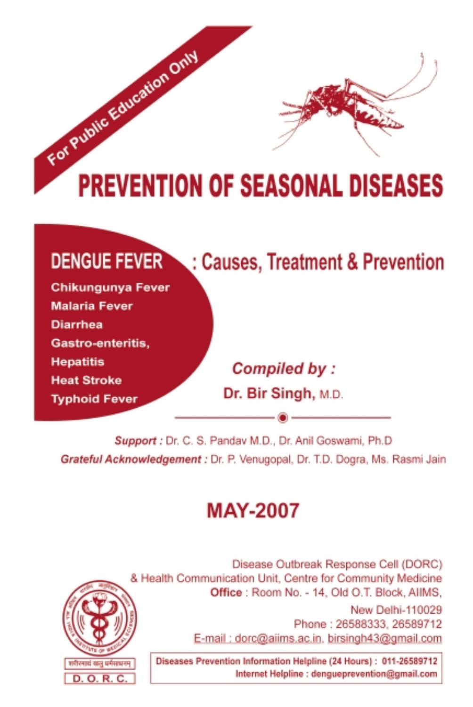

| <b>DENGUE FEVER</b><br>: Causes, Treatment & Prevention |                     |
|---------------------------------------------------------|---------------------|
| <b>Chikungunya Fever</b>                                |                     |
| <b>Malaria Fever</b>                                    |                     |
| <b>Diarrhea</b>                                         |                     |
| Gastro-enteritis,                                       |                     |
| <b>Hepatitis</b>                                        | Compiled by:        |
| <b>Heat Stroke</b>                                      |                     |
| <b>Typhoid Fever</b>                                    | Dr. Bir Singh, M.D. |
|                                                         |                     |

Support : Dr. C. S. Pandav M.D., Dr. Anil Goswami, Ph.D. Grateful Acknowledgement : Dr. P. Venugopal, Dr. T.D. Dogra, Ms. Rasmi Jain

# **MAY-2007**



Disease Outbreak Response Cell (DORC) & Health Communication Unit, Centre for Community Medicine Office : Room No. - 14, Old O.T. Block, AllMS, New Delhi-110029 Phone: 26588333, 26589712 E-mail: dorc@aiims.ac.in. birsingh43@gmail.com

Diseases Prevention Information Helpline (24 Hours): 011-26589712 Internet Helpline : dengueprevention@gmail.com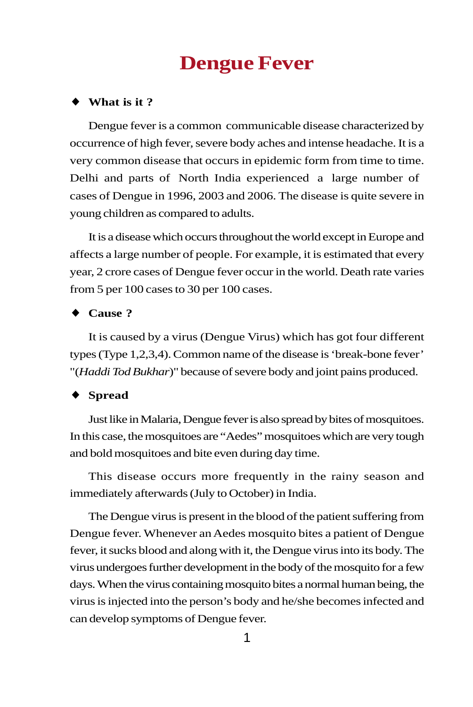# **Dengue Fever**

#### ♦ **What is it ?**

Dengue fever is a common communicable disease characterized by occurrence of high fever, severe body aches and intense headache. It is a very common disease that occurs in epidemic form from time to time. Delhi and parts of North India experienced a large number of cases of Dengue in 1996, 2003 and 2006. The disease is quite severe in young children as compared to adults.

It is a disease which occurs throughout the world except in Europe and affects a large number of people. For example, it is estimated that every year, 2 crore cases of Dengue fever occur in the world. Death rate varies from 5 per 100 cases to 30 per 100 cases.

#### ♦ **Cause ?**

It is caused by a virus (Dengue Virus) which has got four different types (Type 1,2,3,4). Common name of the disease is 'break-bone fever' "(*Haddi Tod Bukhar*)" because of severe body and joint pains produced.

#### ♦ **Spread**

Just like in Malaria, Dengue fever is also spread by bites of mosquitoes. In this case, the mosquitoes are "Aedes" mosquitoes which are very tough and bold mosquitoes and bite even during day time.

This disease occurs more frequently in the rainy season and immediately afterwards (July to October) in India.

The Dengue virus is present in the blood of the patient suffering from Dengue fever. Whenever an Aedes mosquito bites a patient of Dengue fever, it sucks blood and along with it, the Dengue virus into its body. The virus undergoes further development in the body of the mosquito for a few days. When the virus containing mosquito bites a normal human being, the virus is injected into the person's body and he/she becomes infected and can develop symptoms of Dengue fever.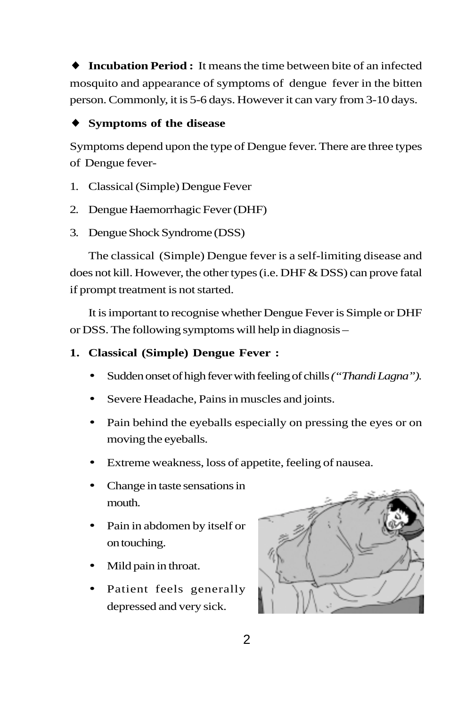**Incubation Period :** It means the time between bite of an infected mosquito and appearance of symptoms of dengue fever in the bitten person. Commonly, it is 5-6 days. However it can vary from 3-10 days.

## ♦ **Symptoms of the disease**

Symptoms depend upon the type of Dengue fever. There are three types of Dengue fever-

- 1. Classical (Simple) Dengue Fever
- 2. Dengue Haemorrhagic Fever (DHF)
- 3. Dengue Shock Syndrome (DSS)

The classical (Simple) Dengue fever is a self-limiting disease and does not kill. However, the other types (i.e. DHF & DSS) can prove fatal if prompt treatment is not started.

It is important to recognise whether Dengue Fever is Simple or DHF or DSS. The following symptoms will help in diagnosis –

## **1. Classical (Simple) Dengue Fever :**

- Sudden onset of high fever with feeling of chills *("Thandi Lagna").*
- Severe Headache, Pains in muscles and joints.
- Pain behind the eyeballs especially on pressing the eyes or on moving the eyeballs.
- Extreme weakness, loss of appetite, feeling of nausea.
- Change in taste sensations in mouth.
- Pain in abdomen by itself or on touching.
- Mild pain in throat.
- Patient feels generally depressed and very sick.

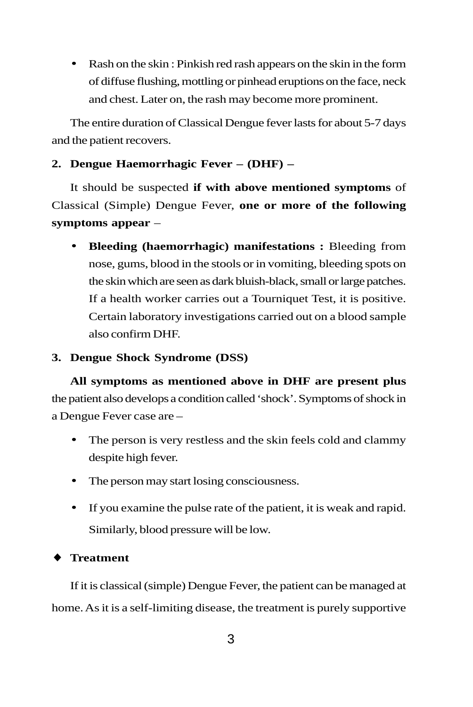• Rash on the skin : Pinkish red rash appears on the skin in the form of diffuse flushing, mottling or pinhead eruptions on the face, neck and chest. Later on, the rash may become more prominent.

The entire duration of Classical Dengue fever lasts for about 5-7 days and the patient recovers.

## **2. Dengue Haemorrhagic Fever – (DHF) –**

It should be suspected **if with above mentioned symptoms** of Classical (Simple) Dengue Fever, **one or more of the following symptoms appear** –

• **Bleeding (haemorrhagic) manifestations :** Bleeding from nose, gums, blood in the stools or in vomiting, bleeding spots on the skin which are seen as dark bluish-black, small or large patches. If a health worker carries out a Tourniquet Test, it is positive. Certain laboratory investigations carried out on a blood sample also confirm DHF.

## **3. Dengue Shock Syndrome (DSS)**

**All symptoms as mentioned above in DHF are present plus** the patient also develops a condition called 'shock'. Symptoms of shock in a Dengue Fever case are –

- The person is very restless and the skin feels cold and clammy despite high fever.
- The person may start losing consciousness.
- If you examine the pulse rate of the patient, it is weak and rapid. Similarly, blood pressure will be low.

### **Treatment**

If it is classical (simple) Dengue Fever, the patient can be managed at home. As it is a self-limiting disease, the treatment is purely supportive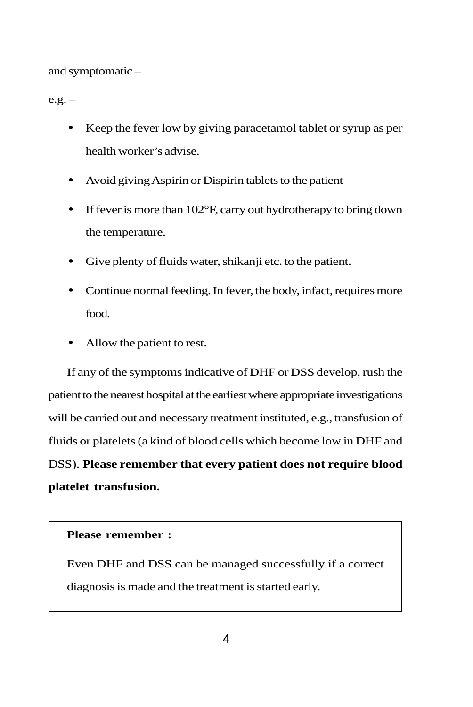and symptomatic –

 $e.g. -$ 

- Keep the fever low by giving paracetamol tablet or syrup as per health worker's advise.
- Avoid giving Aspirin or Dispirin tablets to the patient
- If fever is more than 102°F, carry out hydrotherapy to bring down the temperature.
- Give plenty of fluids water, shikanji etc. to the patient.
- Continue normal feeding. In fever, the body, infact, requires more food.
- Allow the patient to rest.

If any of the symptoms indicative of DHF or DSS develop, rush the patient to the nearest hospital at the earliest where appropriate investigations will be carried out and necessary treatment instituted, e.g., transfusion of fluids or platelets (a kind of blood cells which become low in DHF and DSS). **Please remember that every patient does not require blood platelet transfusion.**

#### **Please remember :**

Even DHF and DSS can be managed successfully if a correct diagnosis is made and the treatment is started early.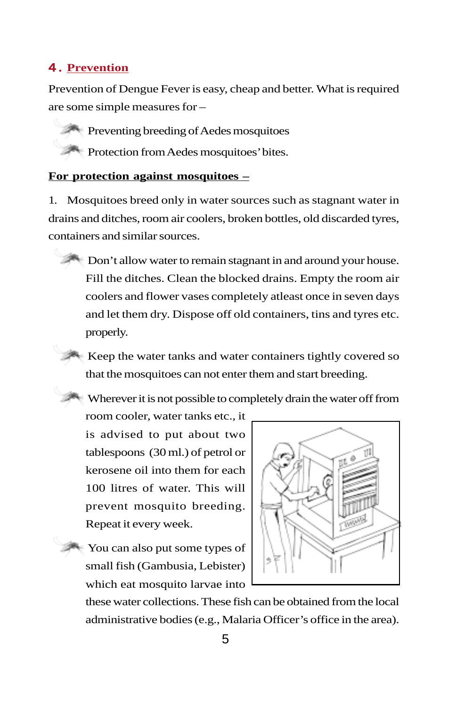#### 4 . **Prevention**

Prevention of Dengue Fever is easy, cheap and better. What is required are some simple measures for –

• Preventing breeding of Aedes mosquitoes • Protection from Aedes mosquitoes' bites.

#### **For protection against mosquitoes –**

1. Mosquitoes breed only in water sources such as stagnant water in drains and ditches, room air coolers, broken bottles, old discarded tyres, containers and similar sources.

• Don't allow water to remain stagnant in and around your house. Fill the ditches. Clean the blocked drains. Empty the room air coolers and flower vases completely atleast once in seven days and let them dry. Dispose off old containers, tins and tyres etc. properly.

• Keep the water tanks and water containers tightly covered so that the mosquitoes can not enter them and start breeding.

• Wherever it is not possible to completely drain the water off from

room cooler, water tanks etc., it is advised to put about two tablespoons (30 ml.) of petrol or kerosene oil into them for each 100 litres of water. This will prevent mosquito breeding. Repeat it every week.

• You can also put some types of small fish (Gambusia, Lebister) which eat mosquito larvae into



these water collections. These fish can be obtained from the local administrative bodies (e.g., Malaria Officer's office in the area).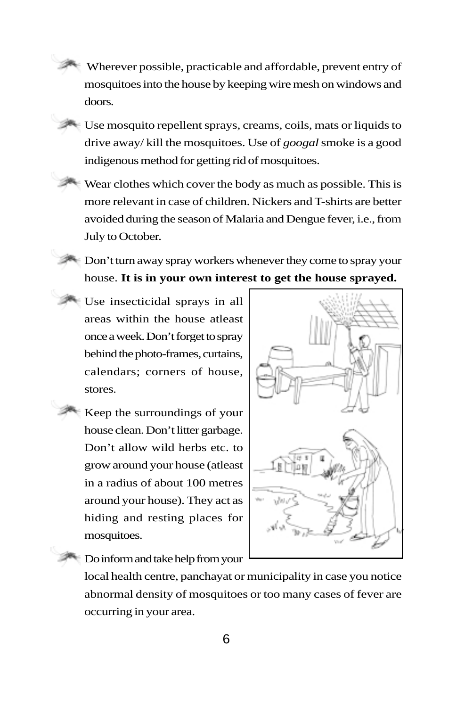• Wherever possible, practicable and affordable, prevent entry of mosquitoes into the house by keeping wire mesh on windows and doors.

• Use mosquito repellent sprays, creams, coils, mats or liquids to drive away/ kill the mosquitoes. Use of *googal* smoke is a good indigenous method for getting rid of mosquitoes.

- Wear clothes which cover the body as much as possible. This is more relevant in case of children. Nickers and T-shirts are better avoided during the season of Malaria and Dengue fever, i.e., from July to October.
- Don't turn away spray workers whenever they come to spray your house. **It is in your own interest to get the house sprayed.**
- Use insecticidal sprays in all areas within the house atleast once a week. Don't forget to spray behind the photo-frames, curtains, calendars; corners of house, stores.
	- Keep the surroundings of your house clean. Don't litter garbage. Don't allow wild herbs etc. to grow around your house (atleast in a radius of about 100 metres around your house). They act as hiding and resting places for mosquitoes.



• Do inform and take help from your

local health centre, panchayat or municipality in case you notice abnormal density of mosquitoes or too many cases of fever are occurring in your area.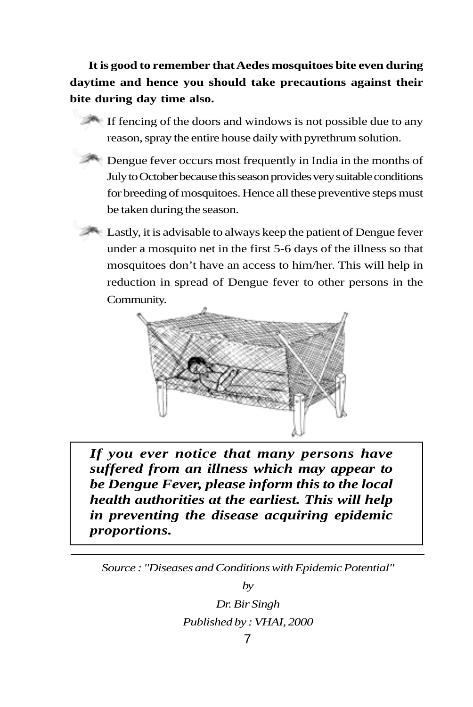**It is good to remember that Aedes mosquitoes bite even during daytime and hence you should take precautions against their bite during day time also.**

• If fencing of the doors and windows is not possible due to any reason, spray the entire house daily with pyrethrum solution.

• Dengue fever occurs most frequently in India in the months of July to October because this season provides very suitable conditions for breeding of mosquitoes. Hence all these preventive steps must be taken during the season.

Lastly, it is advisable to always keep the patient of Dengue fever under a mosquito net in the first 5-6 days of the illness so that mosquitoes don't have an access to him/her. This will help in reduction in spread of Dengue fever to other persons in the Community.



*If you ever notice that many persons have suffered from an illness which may appear to be Dengue Fever, please inform this to the local health authorities at the earliest. This will help in preventing the disease acquiring epidemic proportions.*

*Source : "Diseases and Conditions with Epidemic Potential"*

*by*

*Dr. Bir Singh Published by : VHAI, 2000*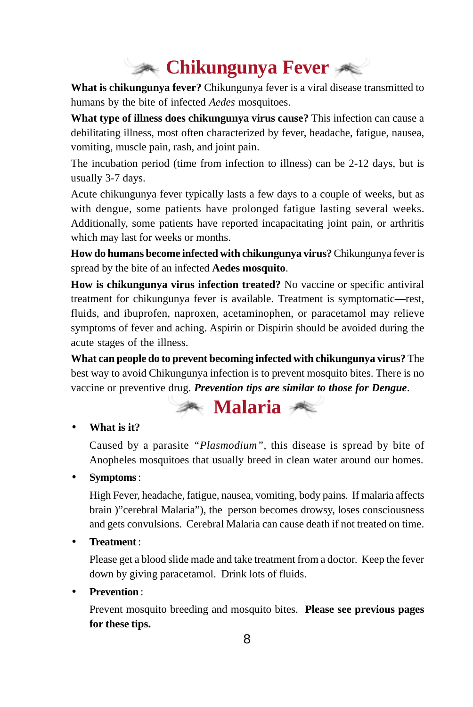# **Chikungunya Fever**

**What is chikungunya fever?** Chikungunya fever is a viral disease transmitted to humans by the bite of infected *Aedes* mosquitoes.

**What type of illness does chikungunya virus cause?** This infection can cause a debilitating illness, most often characterized by fever, headache, fatigue, nausea, vomiting, muscle pain, rash, and joint pain.

The incubation period (time from infection to illness) can be 2-12 days, but is usually 3-7 days.

Acute chikungunya fever typically lasts a few days to a couple of weeks, but as with dengue, some patients have prolonged fatigue lasting several weeks. Additionally, some patients have reported incapacitating joint pain, or arthritis which may last for weeks or months.

**How do humans become infected with chikungunya virus?** Chikungunya fever is spread by the bite of an infected **Aedes mosquito**.

**How is chikungunya virus infection treated?** No vaccine or specific antiviral treatment for chikungunya fever is available. Treatment is symptomatic—rest, fluids, and ibuprofen, naproxen, acetaminophen, or paracetamol may relieve symptoms of fever and aching. Aspirin or Dispirin should be avoided during the acute stages of the illness.

**What can people do to prevent becoming infected with chikungunya virus?** The best way to avoid Chikungunya infection is to prevent mosquito bites. There is no vaccine or preventive drug. *Prevention tips are similar to those for Dengue*.

# **Malaria**

• **What is it?**

Caused by a parasite *"Plasmodium",* this disease is spread by bite of Anopheles mosquitoes that usually breed in clean water around our homes.

• **Symptoms** :

High Fever, headache, fatigue, nausea, vomiting, body pains. If malaria affects brain )"cerebral Malaria"), the person becomes drowsy, loses consciousness and gets convulsions. Cerebral Malaria can cause death if not treated on time.

• **Treatment** :

Please get a blood slide made and take treatment from a doctor. Keep the fever down by giving paracetamol. Drink lots of fluids.

• **Prevention** :

Prevent mosquito breeding and mosquito bites. **Please see previous pages for these tips.**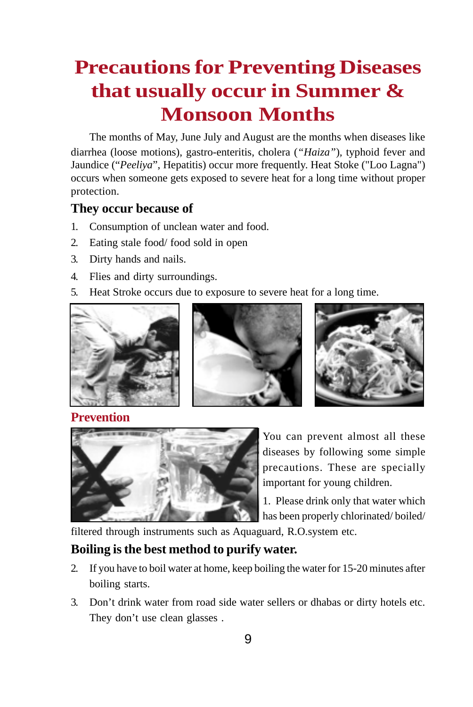# **Precautions for Preventing Diseases that usually occur in Summer & Monsoon Months**

The months of May, June July and August are the months when diseases like diarrhea (loose motions), gastro-enteritis, cholera (*"Haiza"*)*,* typhoid fever and Jaundice ("*Peeliya*", Hepatitis) occur more frequently. Heat Stoke ("Loo Lagna") occurs when someone gets exposed to severe heat for a long time without proper protection.

# **They occur because of**

- 1. Consumption of unclean water and food.
- 2. Eating stale food/ food sold in open
- 3. Dirty hands and nails.
- 4. Flies and dirty surroundings.
- 5. Heat Stroke occurs due to exposure to severe heat for a long time.







# **Prevention**



You can prevent almost all these diseases by following some simple precautions. These are specially important for young children.

1. Please drink only that water which has been properly chlorinated/ boiled/

filtered through instruments such as Aquaguard, R.O.system etc.

# **Boiling is the best method to purify water.**

- 2. If you have to boil water at home, keep boiling the water for 15-20 minutes after boiling starts.
- 3. Don't drink water from road side water sellers or dhabas or dirty hotels etc. They don't use clean glasses .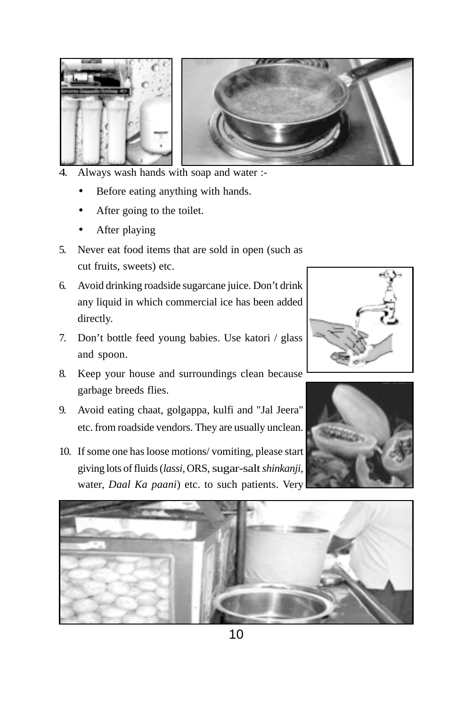

- 4. Always wash hands with soap and water :-
	- Before eating anything with hands.
	- After going to the toilet.
	- After playing
- 5. Never eat food items that are sold in open (such as cut fruits, sweets) etc.
- 6. Avoid drinking roadside sugarcane juice. Don't drink any liquid in which commercial ice has been added directly.
- 7. Don't bottle feed young babies. Use katori / glass and spoon.
- 8. Keep your house and surroundings clean because garbage breeds flies.
- 9. Avoid eating chaat, golgappa, kulfi and "Jal Jeera" etc. from roadside vendors. They are usually unclean.
- 10. If some one has loose motions/ vomiting, please start giving lots of fluids (*lassi*, ORS, sugar-salt *shinkanji,* water, *Daal Ka paani*) etc. to such patients. Very







10